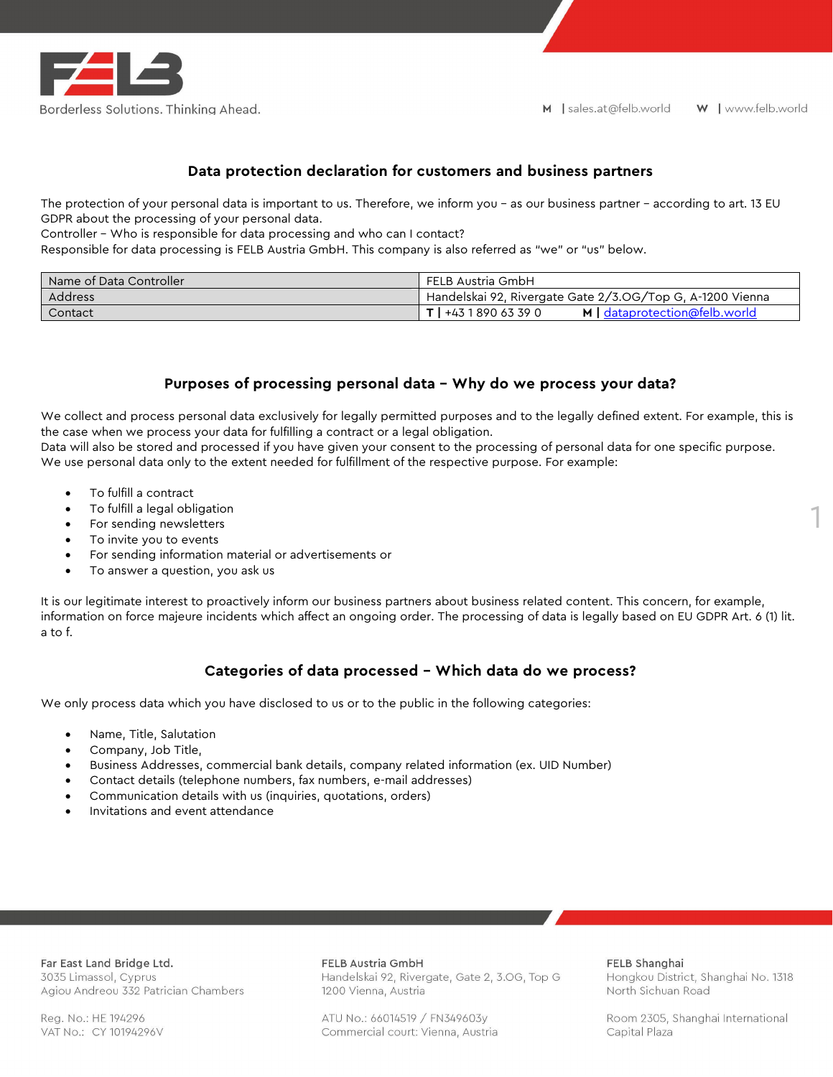

# **Data protection declaration for customers and business partners**

The protection of your personal data is important to us. Therefore, we inform you – as our business partner – according to art. 13 EU GDPR about the processing of your personal data.

Controller – Who is responsible for data processing and who can I contact?

Responsible for data processing is FELB Austria GmbH. This company is also referred as "we" or "us" below.

| Name of Data Controller | FELB Austria GmbH                                         |
|-------------------------|-----------------------------------------------------------|
| Address                 | Handelskai 92, Rivergate Gate 2/3.0G/Top G, A-1200 Vienna |
| Contact                 | 890 63 39 0<br>+43<br>M   dataprotection@felb.world       |

### **Purposes of processing personal data – Why do we process your data?**

We collect and process personal data exclusively for legally permitted purposes and to the legally defined extent. For example, this is the case when we process your data for fulfilling a contract or a legal obligation.

Data will also be stored and processed if you have given your consent to the processing of personal data for one specific purpose. We use personal data only to the extent needed for fulfillment of the respective purpose. For example:

- To fulfill a contract
- To fulfill a legal obligation
- For sending newsletters
- To invite you to events
- For sending information material or advertisements or
- To answer a question, you ask us

It is our legitimate interest to proactively inform our business partners about business related content. This concern, for example, information on force majeure incidents which affect an ongoing order. The processing of data is legally based on EU GDPR Art. 6 (1) lit. a to f.

## **Categories of data processed – Which data do we process?**

We only process data which you have disclosed to us or to the public in the following categories:

- Name, Title, Salutation
- Company, Job Title,
- Business Addresses, commercial bank details, company related information (ex. UID Number)
- Contact details (telephone numbers, fax numbers, e-mail addresses)
- Communication details with us (inquiries, quotations, orders)
- Invitations and event attendance

Far East Land Bridge Ltd. 3035 Limassol, Cyprus Agiou Andreou 332 Patrician Chambers

Reg. No.: HE 194296 VAT No.: CY 10194296V FELB Austria GmbH

Handelskai 92, Rivergate, Gate 2, 3.OG, Top G 1200 Vienna, Austria

ATU No.: 66014519 / FN349603y Commercial court: Vienna, Austria FELB Shanghai

Hongkou District, Shanghai No. 1318 North Sichuan Road

1

Room 2305, Shanghai International Capital Plaza